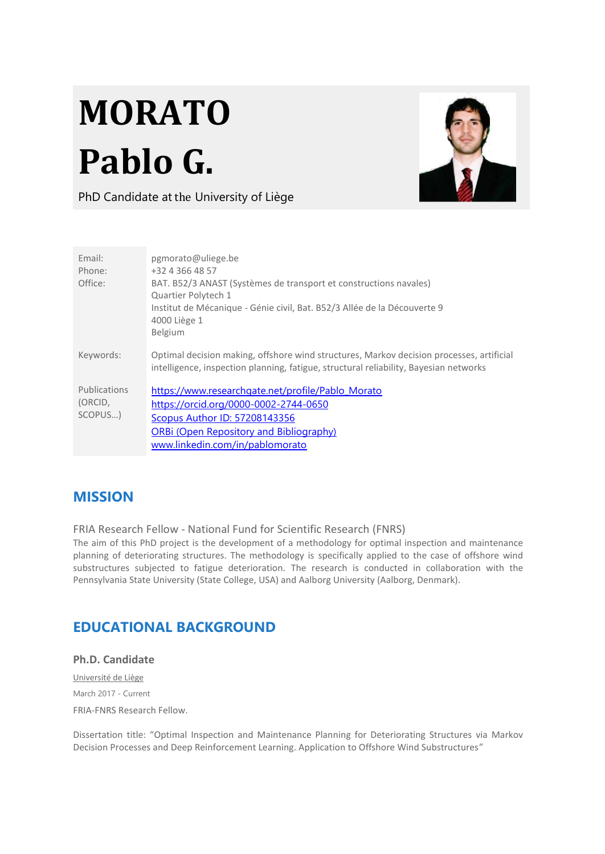# **MORATO Pablo G.**



PhD Candidate at the University of Liège

| Fmail:<br>Phone:<br>Office:        | pgmorato@uliege.be<br>+32 4 366 48 57<br>BAT. B52/3 ANAST (Systèmes de transport et constructions navales)<br>Quartier Polytech 1<br>Institut de Mécanique - Génie civil, Bat. B52/3 Allée de la Découverte 9<br>4000 Liège 1<br>Belgium |
|------------------------------------|------------------------------------------------------------------------------------------------------------------------------------------------------------------------------------------------------------------------------------------|
| Keywords:                          | Optimal decision making, offshore wind structures, Markov decision processes, artificial<br>intelligence, inspection planning, fatigue, structural reliability, Bayesian networks                                                        |
| Publications<br>(ORCID,<br>SCOPUS) | https://www.researchgate.net/profile/Pablo Morato<br>https://orcid.org/0000-0002-2744-0650<br><b>Scopus Author ID: 57208143356</b><br><b>ORBi (Open Repository and Bibliography)</b><br>www.linkedin.com/in/pablomorato                  |

## **MISSION**

FRIA Research Fellow - National Fund for Scientific Research (FNRS)

The aim of this PhD project is the development of a methodology for optimal inspection and maintenance planning of deteriorating structures. The methodology is specifically applied to the case of offshore wind substructures subjected to fatigue deterioration. The research is conducted in collaboration with the Pennsylvania State University (State College, USA) and Aalborg University (Aalborg, Denmark).

# **EDUCATIONAL BACKGROUND**

#### **Ph.D. Candidate**

Université de Liège March 2017 - Current FRIA-FNRS Research Fellow.

Dissertation title: "Optimal Inspection and Maintenance Planning for Deteriorating Structures via Markov Decision Processes and Deep Reinforcement Learning. Application to Offshore Wind Substructures"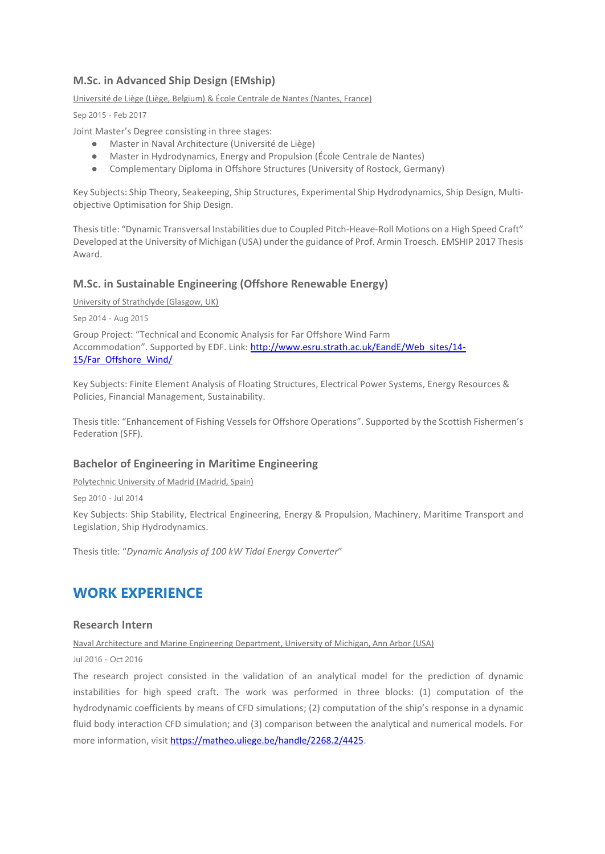#### **M.Sc. in Advanced Ship Design (EMship)**

Université de Liège (Liège, Belgium) & École Centrale de Nantes (Nantes, France)

Sep 2015 - Feb 2017

Joint Master's Degree consisting in three stages:

- Master in Naval Architecture (Université de Liège)
- Master in Hydrodynamics, Energy and Propulsion (École Centrale de Nantes)
- Complementary Diploma in Offshore Structures (University of Rostock, Germany)

Key Subjects: Ship Theory, Seakeeping, Ship Structures, Experimental Ship Hydrodynamics, Ship Design, Multiobjective Optimisation for Ship Design.

Thesis title: "Dynamic Transversal Instabilities due to Coupled Pitch-Heave-Roll Motions on a High Speed Craft" Developed at the University of Michigan (USA) under the guidance of Prof. Armin Troesch. EMSHIP 2017 Thesis Award.

#### **M.Sc. in Sustainable Engineering (Offshore Renewable Energy)**

University of Strathclyde (Glasgow, UK)

Sep 2014 - Aug 2015

Group Project: "Technical and Economic Analysis for Far Offshore Wind Farm Accommodation". Supported by EDF. Link: [http://www.esru.strath.ac.uk/EandE/Web\\_sites/14-](http://www.esru.strath.ac.uk/EandE/Web_sites/14-15/Far_Offshore_Wind/) [15/Far\\_Offshore\\_Wind/](http://www.esru.strath.ac.uk/EandE/Web_sites/14-15/Far_Offshore_Wind/)

Key Subjects: Finite Element Analysis of Floating Structures, Electrical Power Systems, Energy Resources & Policies, Financial Management, Sustainability.

Thesis title: "Enhancement of Fishing Vessels for Offshore Operations". Supported by the Scottish Fishermen's Federation (SFF).

#### **Bachelor of Engineering in Maritime Engineering**

Polytechnic University of Madrid (Madrid, Spain)

Sep 2010 - Jul 2014

Key Subjects: Ship Stability, Electrical Engineering, Energy & Propulsion, Machinery, Maritime Transport and Legislation, Ship Hydrodynamics.

Thesis title: "*Dynamic Analysis of 100 kW Tidal Energy Converter*"

## **WORK EXPERIENCE**

#### **Research Intern**

#### Naval Architecture and Marine Engineering Department, University of Michigan, Ann Arbor (USA)

Jul 2016 - Oct 2016

The research project consisted in the validation of an analytical model for the prediction of dynamic instabilities for high speed craft. The work was performed in three blocks: (1) computation of the hydrodynamic coefficients by means of CFD simulations; (2) computation of the ship's response in a dynamic fluid body interaction CFD simulation; and (3) comparison between the analytical and numerical models. For more information, visit [https://matheo.uliege.be/handle/2268.2/4425.](https://matheo.uliege.be/handle/2268.2/4425)